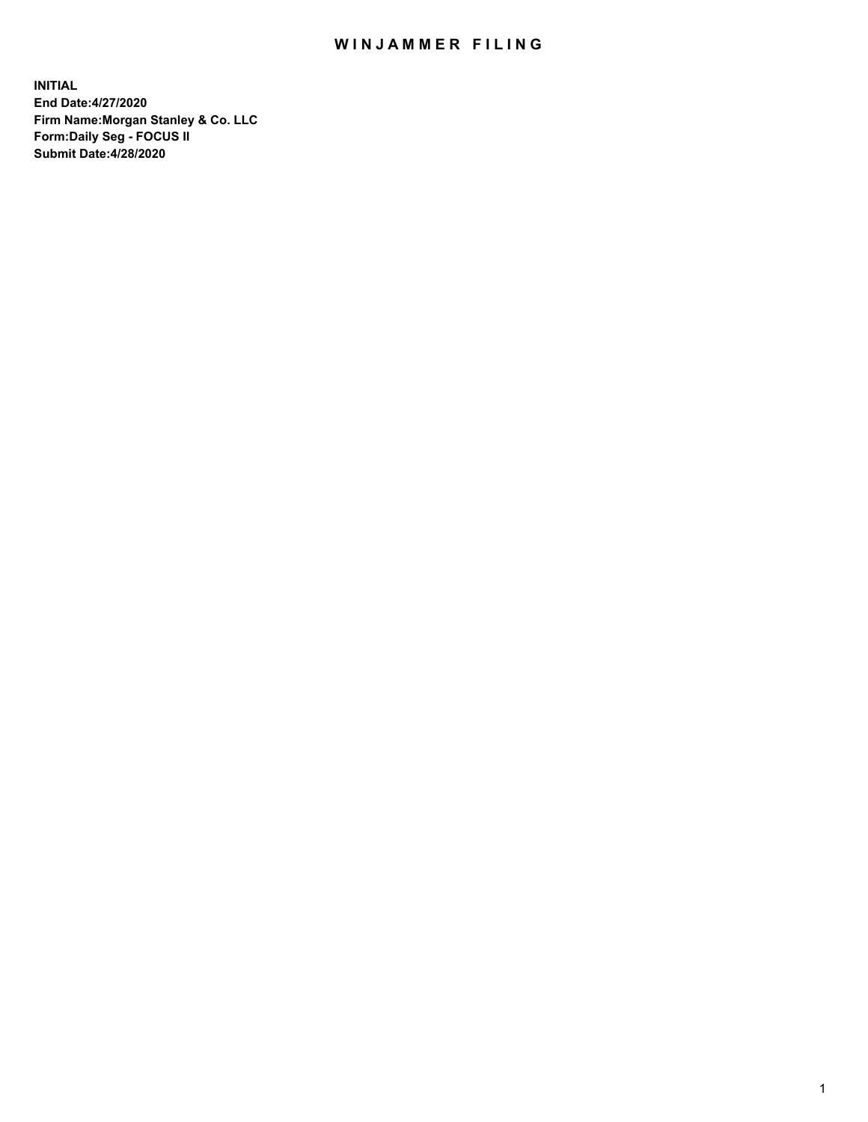## WIN JAMMER FILING

**INITIAL End Date:4/27/2020 Firm Name:Morgan Stanley & Co. LLC Form:Daily Seg - FOCUS II Submit Date:4/28/2020**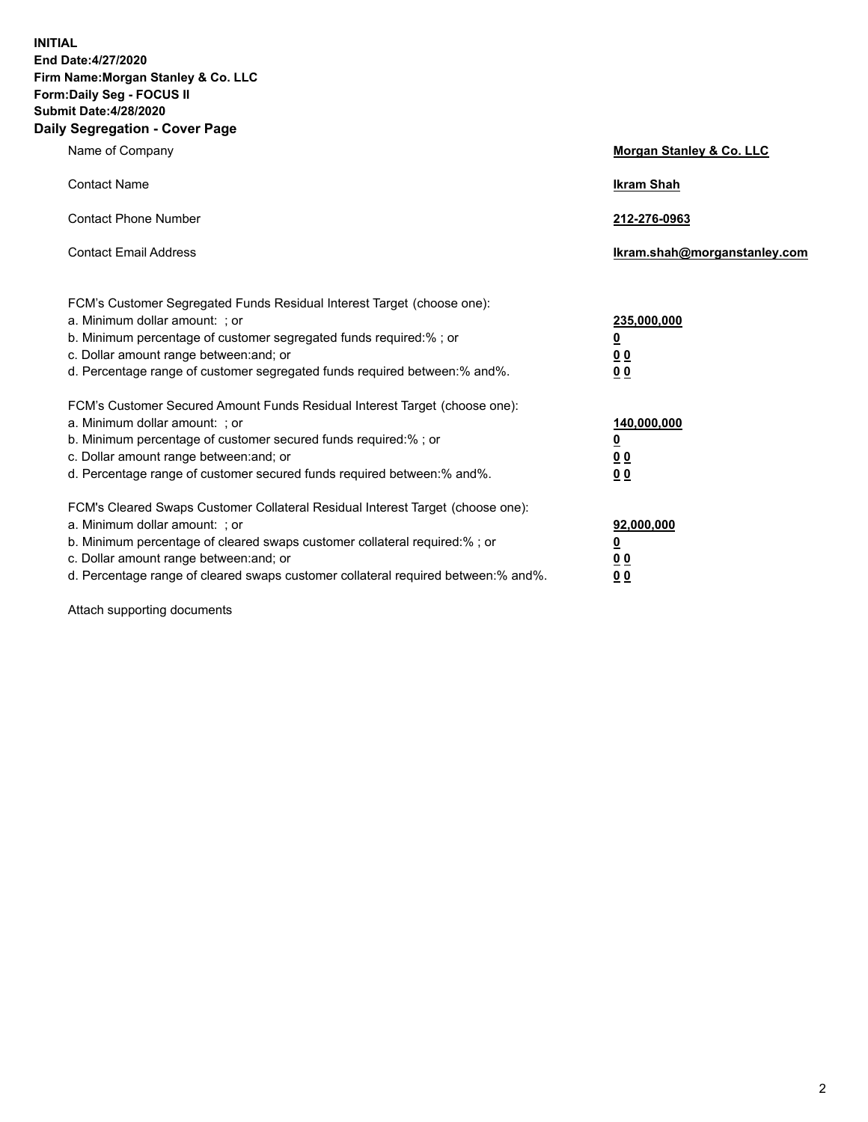**INITIAL End Date:4/27/2020 Firm Name:Morgan Stanley & Co. LLC Form:Daily Seg - FOCUS II Submit Date:4/28/2020 Daily Segregation - Cover Page**

| Name of Company                                                                                                                                                                                                                                                                                                               | Morgan Stanley & Co. LLC                               |
|-------------------------------------------------------------------------------------------------------------------------------------------------------------------------------------------------------------------------------------------------------------------------------------------------------------------------------|--------------------------------------------------------|
| <b>Contact Name</b>                                                                                                                                                                                                                                                                                                           | <b>Ikram Shah</b>                                      |
| <b>Contact Phone Number</b>                                                                                                                                                                                                                                                                                                   | 212-276-0963                                           |
| <b>Contact Email Address</b>                                                                                                                                                                                                                                                                                                  | Ikram.shah@morganstanley.com                           |
| FCM's Customer Segregated Funds Residual Interest Target (choose one):<br>a. Minimum dollar amount: ; or<br>b. Minimum percentage of customer segregated funds required:% ; or<br>c. Dollar amount range between: and; or<br>d. Percentage range of customer segregated funds required between:% and%.                        | 235,000,000<br><u>0</u><br><u>00</u><br>0 <sup>0</sup> |
| FCM's Customer Secured Amount Funds Residual Interest Target (choose one):<br>a. Minimum dollar amount: ; or<br>b. Minimum percentage of customer secured funds required:%; or<br>c. Dollar amount range between: and; or<br>d. Percentage range of customer secured funds required between:% and%.                           | 140,000,000<br><u>0</u><br><u>00</u><br>0 <sub>0</sub> |
| FCM's Cleared Swaps Customer Collateral Residual Interest Target (choose one):<br>a. Minimum dollar amount: ; or<br>b. Minimum percentage of cleared swaps customer collateral required:%; or<br>c. Dollar amount range between: and; or<br>d. Percentage range of cleared swaps customer collateral required between:% and%. | 92,000,000<br><u>0</u><br>0 Q<br>00                    |

Attach supporting documents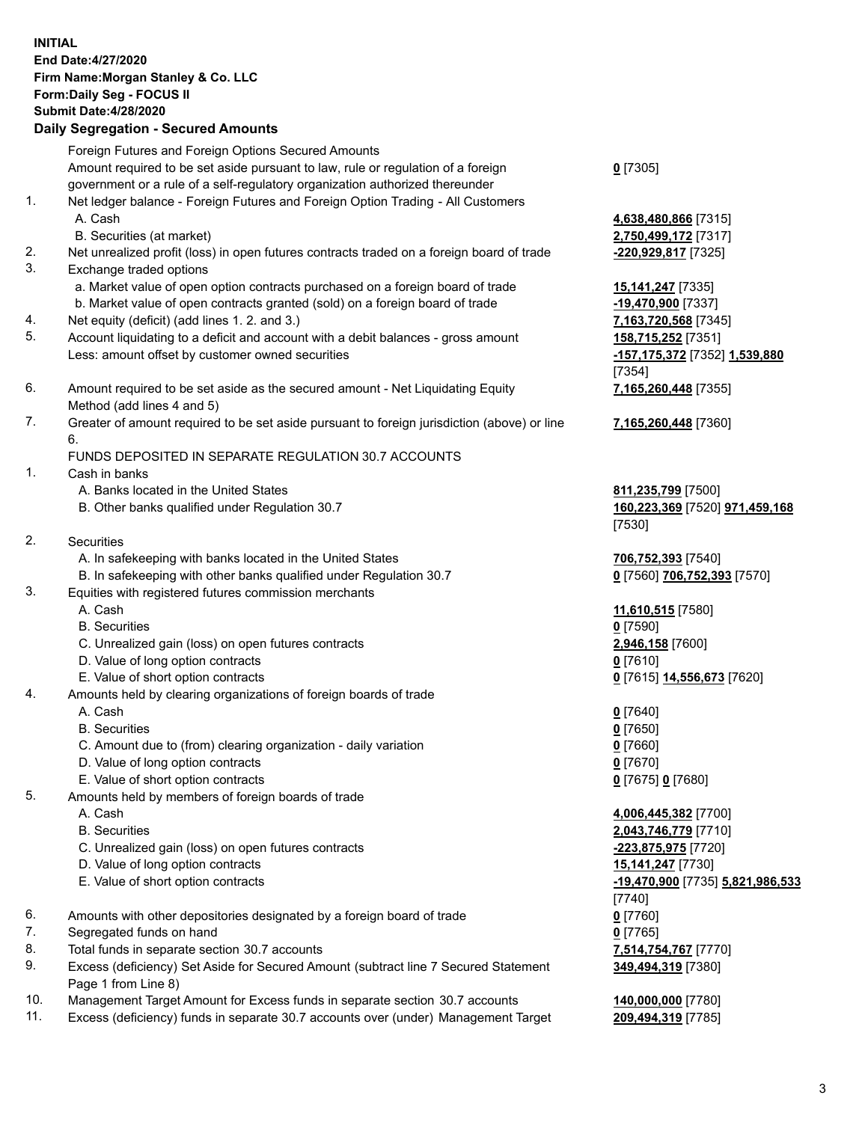## **INITIAL End Date:4/27/2020 Firm Name:Morgan Stanley & Co. LLC Form:Daily Seg - FOCUS II Submit Date:4/28/2020 Daily Segregation - Secured Amounts** Foreign Futures and Foreign Options Secured Amounts Amount required to be set aside pursuant to law, rule or regulation of a foreign government or a rule of a self-regulatory organization authorized thereunder **0** [7305] 1. Net ledger balance - Foreign Futures and Foreign Option Trading - All Customers A. Cash **4,638,480,866** [7315] B. Securities (at market) **2,750,499,172** [7317] 2. Net unrealized profit (loss) in open futures contracts traded on a foreign board of trade **-220,929,817** [7325] 3. Exchange traded options a. Market value of open option contracts purchased on a foreign board of trade **15,141,247** [7335] b. Market value of open contracts granted (sold) on a foreign board of trade **-19,470,900** [7337] 4. Net equity (deficit) (add lines 1. 2. and 3.) **7,163,720,568** [7345] 5. Account liquidating to a deficit and account with a debit balances - gross amount **158,715,252** [7351] Less: amount offset by customer owned securities **-157,175,372** [7352] **1,539,880** [7354] 6. Amount required to be set aside as the secured amount - Net Liquidating Equity Method (add lines 4 and 5) **7,165,260,448** [7355] 7. Greater of amount required to be set aside pursuant to foreign jurisdiction (above) or line 6. **7,165,260,448** [7360] FUNDS DEPOSITED IN SEPARATE REGULATION 30.7 ACCOUNTS 1. Cash in banks A. Banks located in the United States **811,235,799** [7500] B. Other banks qualified under Regulation 30.7 **160,223,369** [7520] **971,459,168** [7530] 2. Securities A. In safekeeping with banks located in the United States **706,752,393** [7540] B. In safekeeping with other banks qualified under Regulation 30.7 **0** [7560] **706,752,393** [7570] 3. Equities with registered futures commission merchants A. Cash **11,610,515** [7580] B. Securities **0** [7590] C. Unrealized gain (loss) on open futures contracts **2,946,158** [7600] D. Value of long option contracts **0** [7610] E. Value of short option contracts **0** [7615] **14,556,673** [7620] 4. Amounts held by clearing organizations of foreign boards of trade A. Cash **0** [7640] B. Securities **0** [7650] C. Amount due to (from) clearing organization - daily variation **0** [7660] D. Value of long option contracts **0** [7670] E. Value of short option contracts **0** [7675] **0** [7680] 5. Amounts held by members of foreign boards of trade A. Cash **4,006,445,382** [7700] B. Securities **2,043,746,779** [7710] C. Unrealized gain (loss) on open futures contracts **-223,875,975** [7720] D. Value of long option contracts **15,141,247** [7730] E. Value of short option contracts **-19,470,900** [7735] **5,821,986,533** [7740] 6. Amounts with other depositories designated by a foreign board of trade **0** [7760] 7. Segregated funds on hand **0** [7765] 8. Total funds in separate section 30.7 accounts **7,514,754,767** [7770] 9. Excess (deficiency) Set Aside for Secured Amount (subtract line 7 Secured Statement Page 1 from Line 8) **349,494,319** [7380]

- 10. Management Target Amount for Excess funds in separate section 30.7 accounts **140,000,000** [7780]
- 11. Excess (deficiency) funds in separate 30.7 accounts over (under) Management Target **209,494,319** [7785]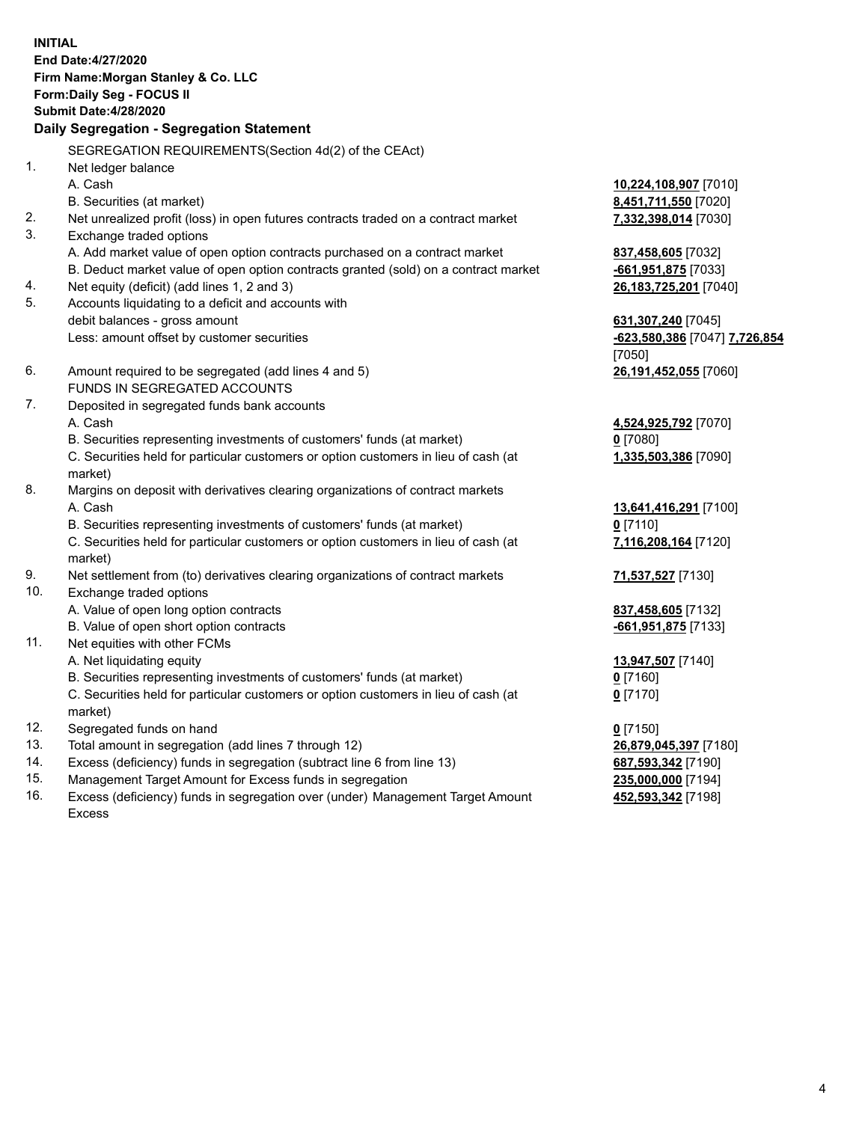**INITIAL End Date:4/27/2020 Firm Name:Morgan Stanley & Co. LLC Form:Daily Seg - FOCUS II Submit Date:4/28/2020 Daily Segregation - Segregation Statement** SEGREGATION REQUIREMENTS(Section 4d(2) of the CEAct) 1. Net ledger balance A. Cash **10,224,108,907** [7010] B. Securities (at market) **8,451,711,550** [7020] 2. Net unrealized profit (loss) in open futures contracts traded on a contract market **7,332,398,014** [7030] 3. Exchange traded options A. Add market value of open option contracts purchased on a contract market **837,458,605** [7032] B. Deduct market value of open option contracts granted (sold) on a contract market **-661,951,875** [7033] 4. Net equity (deficit) (add lines 1, 2 and 3) **26,183,725,201** [7040] 5. Accounts liquidating to a deficit and accounts with debit balances - gross amount **631,307,240** [7045] Less: amount offset by customer securities **-623,580,386** [7047] **7,726,854** [7050] 6. Amount required to be segregated (add lines 4 and 5) **26,191,452,055** [7060] FUNDS IN SEGREGATED ACCOUNTS 7. Deposited in segregated funds bank accounts A. Cash **4,524,925,792** [7070] B. Securities representing investments of customers' funds (at market) **0** [7080] C. Securities held for particular customers or option customers in lieu of cash (at market) **1,335,503,386** [7090] 8. Margins on deposit with derivatives clearing organizations of contract markets A. Cash **13,641,416,291** [7100] B. Securities representing investments of customers' funds (at market) **0** [7110] C. Securities held for particular customers or option customers in lieu of cash (at market) **7,116,208,164** [7120] 9. Net settlement from (to) derivatives clearing organizations of contract markets **71,537,527** [7130] 10. Exchange traded options A. Value of open long option contracts **837,458,605** [7132] B. Value of open short option contracts **-661,951,875** [7133] 11. Net equities with other FCMs A. Net liquidating equity **13,947,507** [7140] B. Securities representing investments of customers' funds (at market) **0** [7160] C. Securities held for particular customers or option customers in lieu of cash (at market) **0** [7170] 12. Segregated funds on hand **0** [7150] 13. Total amount in segregation (add lines 7 through 12) **26,879,045,397** [7180] 14. Excess (deficiency) funds in segregation (subtract line 6 from line 13) **687,593,342** [7190] 15. Management Target Amount for Excess funds in segregation **235,000,000** [7194]

16. Excess (deficiency) funds in segregation over (under) Management Target Amount Excess

**452,593,342** [7198]